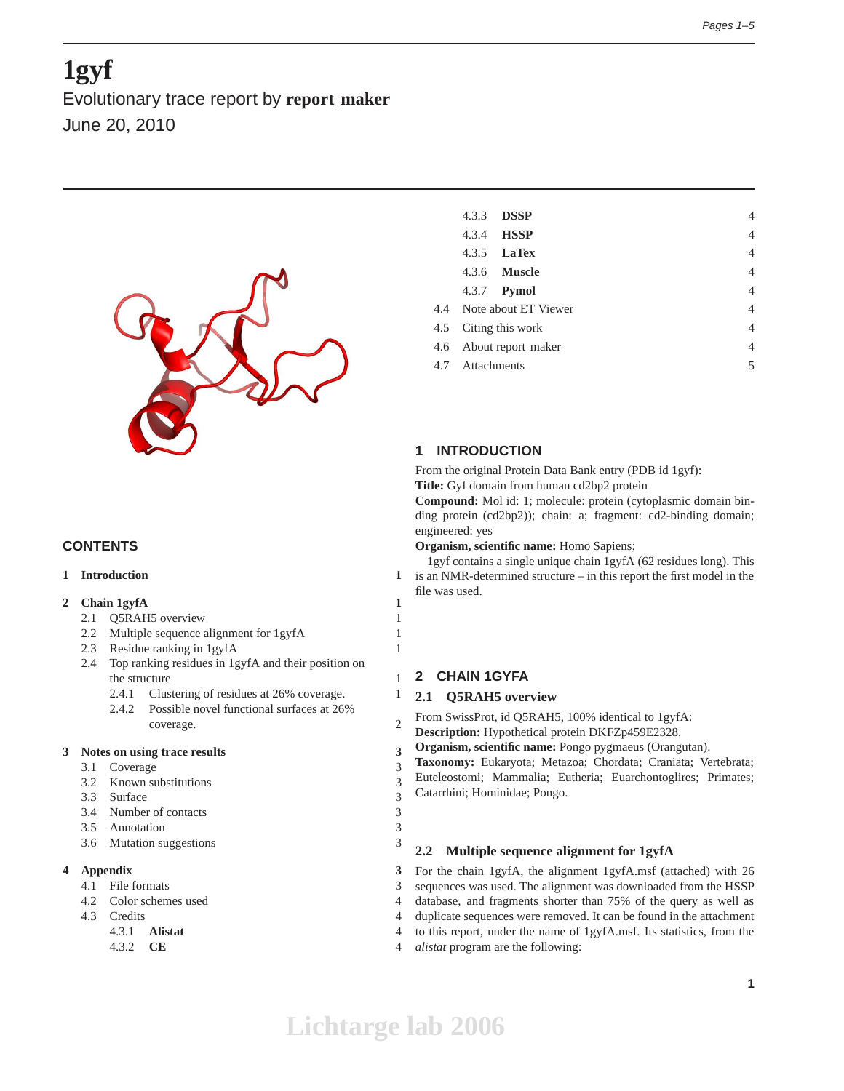# **1gyf**

Evolutionary trace report by **report maker** June 20, 2010



# **CONTENTS**

# **1 Introduction 1**

# **2 Chain 1gyfA 1**

- 2.1 Q5RAH5 overview 1
- 2.2 Multiple sequence alignment for 1gyfA 1
- 2.3 Residue ranking in 1gyfA 1
- 2.4 Top ranking residues in 1gyfA and their position on the structure 1
	- 2.4.1 Clustering of residues at 26% coverage. 1
	- 2.4.2 Possible novel functional surfaces at 26% coverage. 2

# **3 Notes on using trace results 3**

- 3.1 Coverage 3
- 3.2 Known substitutions 3
- 3.3 Surface 3
- 3.4 Number of contacts 3
- 3.5 Annotation 3
- 3.6 Mutation suggestions 3

# **4 Appendix 3**

- 4.1 File formats 3
- 4.2 Color schemes used 4
- 4.3 Credits 4
	- 4.3.1 **Alistat** 4
	- 4.3.2 **CE** 4

| 4.3.3                    | <b>DSSP</b>         |  | $\overline{4}$ |
|--------------------------|---------------------|--|----------------|
|                          | 4.3.4 <b>HSSP</b>   |  | $\overline{4}$ |
|                          | $4.3.5$ LaTex       |  | $\overline{4}$ |
|                          | 4.3.6 <b>Muscle</b> |  | $\overline{4}$ |
|                          | 4.3.7 <b>Pymol</b>  |  | $\overline{4}$ |
| 4.4 Note about ET Viewer |                     |  | $\overline{4}$ |
| 4.5 Citing this work     |                     |  | $\overline{4}$ |
| 4.6 About report_maker   |                     |  | $\overline{4}$ |
| 4.7 Attachments          |                     |  | 5              |
|                          |                     |  |                |

# **1 INTRODUCTION**

From the original Protein Data Bank entry (PDB id 1gyf): **Title:** Gyf domain from human cd2bp2 protein

**Compound:** Mol id: 1; molecule: protein (cytoplasmic domain binding protein (cd2bp2)); chain: a; fragment: cd2-binding domain; engineered: yes

**Organism, scientific name:** Homo Sapiens;

1gyf contains a single unique chain 1gyfA (62 residues long). This is an NMR-determined structure – in this report the first model in the file was used.

# **2 CHAIN 1GYFA**

# **2.1 Q5RAH5 overview**

From SwissProt, id Q5RAH5, 100% identical to 1gyfA:

- **Description:** Hypothetical protein DKFZp459E2328.
- **Organism, scientific name:** Pongo pygmaeus (Orangutan).

**Taxonomy:** Eukaryota; Metazoa; Chordata; Craniata; Vertebrata; Euteleostomi; Mammalia; Eutheria; Euarchontoglires; Primates; Catarrhini; Hominidae; Pongo.

# **2.2 Multiple sequence alignment for 1gyfA**

For the chain 1gyfA, the alignment 1gyfA.msf (attached) with 26 sequences was used. The alignment was downloaded from the HSSP database, and fragments shorter than 75% of the query as well as duplicate sequences were removed. It can be found in the attachment to this report, under the name of 1gyfA.msf. Its statistics, from the *alistat* program are the following: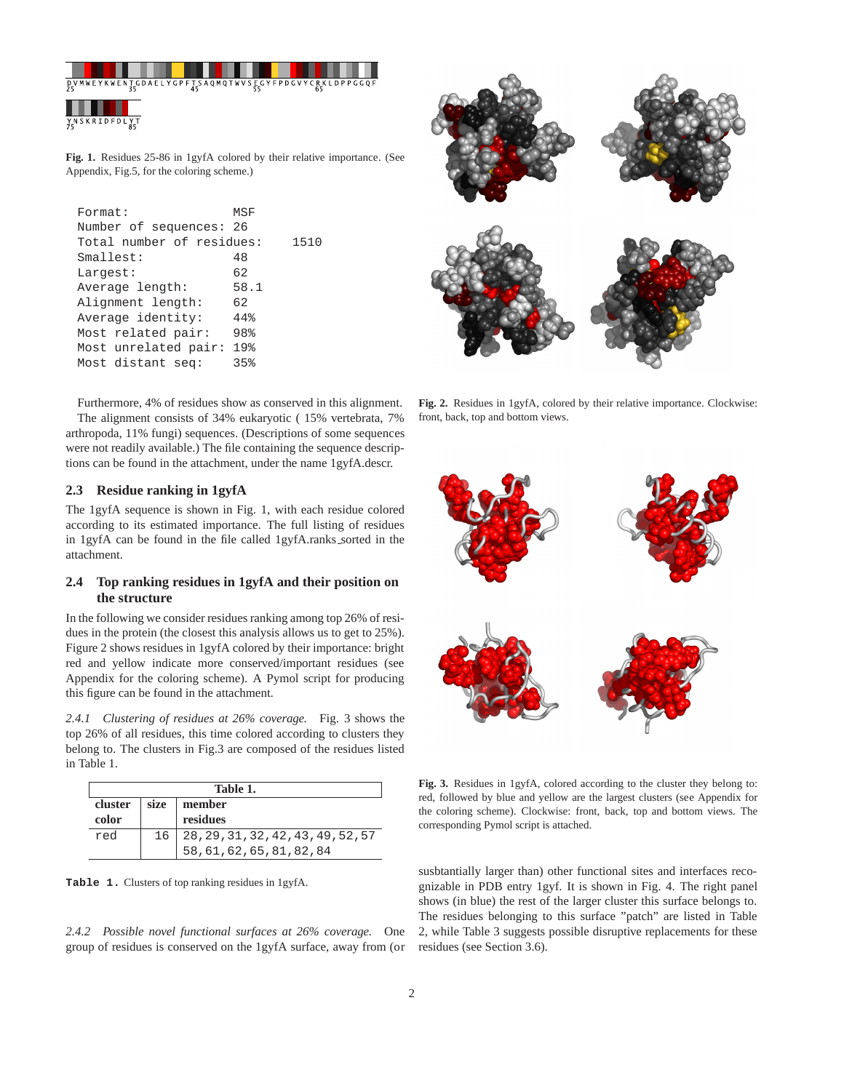

**Fig. 1.** Residues 25-86 in 1gyfA colored by their relative importance. (See Appendix, Fig.5, for the coloring scheme.)

| Format:<br>MSF                   |      |
|----------------------------------|------|
| Number of sequences: 26          |      |
| Total number of residues:        | 1510 |
| 48<br>Smallest:                  |      |
| 62<br>Largest:                   |      |
| Average length:                  | 58.1 |
| Alignment length:<br>62          |      |
| Average identity:<br>44%         |      |
| 98%<br>Most related pair:        |      |
| $19$ $%$<br>Most unrelated pair: |      |
| Most distant seq:<br>35%         |      |

Furthermore, 4% of residues show as conserved in this alignment. The alignment consists of 34% eukaryotic ( 15% vertebrata, 7% arthropoda, 11% fungi) sequences. (Descriptions of some sequences were not readily available.) The file containing the sequence descriptions can be found in the attachment, under the name 1gyfA.descr.

## **2.3 Residue ranking in 1gyfA**

The 1gyfA sequence is shown in Fig. 1, with each residue colored according to its estimated importance. The full listing of residues in 1gyfA can be found in the file called 1gyfA.ranks\_sorted in the attachment.

# **2.4 Top ranking residues in 1gyfA and their position on the structure**

In the following we consider residues ranking among top 26% of residues in the protein (the closest this analysis allows us to get to 25%). Figure 2 shows residues in 1gyfA colored by their importance: bright red and yellow indicate more conserved/important residues (see Appendix for the coloring scheme). A Pymol script for producing this figure can be found in the attachment.

*2.4.1 Clustering of residues at 26% coverage.* Fig. 3 shows the top 26% of all residues, this time colored according to clusters they belong to. The clusters in Fig.3 are composed of the residues listed in Table 1.

| Table 1. |      |                                                                  |  |  |
|----------|------|------------------------------------------------------------------|--|--|
| cluster  | size | member                                                           |  |  |
| color    |      | residues                                                         |  |  |
| red      | 16   | 28, 29, 31, 32, 42, 43, 49, 52, 57<br>58, 61, 62, 65, 81, 82, 84 |  |  |
|          |      |                                                                  |  |  |

**Table 1.** Clusters of top ranking residues in 1gyfA.

*2.4.2 Possible novel functional surfaces at 26% coverage.* One group of residues is conserved on the 1gyfA surface, away from (or



**Fig. 2.** Residues in 1gyfA, colored by their relative importance. Clockwise: front, back, top and bottom views.



**Fig. 3.** Residues in 1gyfA, colored according to the cluster they belong to: red, followed by blue and yellow are the largest clusters (see Appendix for the coloring scheme). Clockwise: front, back, top and bottom views. The corresponding Pymol script is attached.

susbtantially larger than) other functional sites and interfaces recognizable in PDB entry 1gyf. It is shown in Fig. 4. The right panel shows (in blue) the rest of the larger cluster this surface belongs to. The residues belonging to this surface "patch" are listed in Table 2, while Table 3 suggests possible disruptive replacements for these residues (see Section 3.6).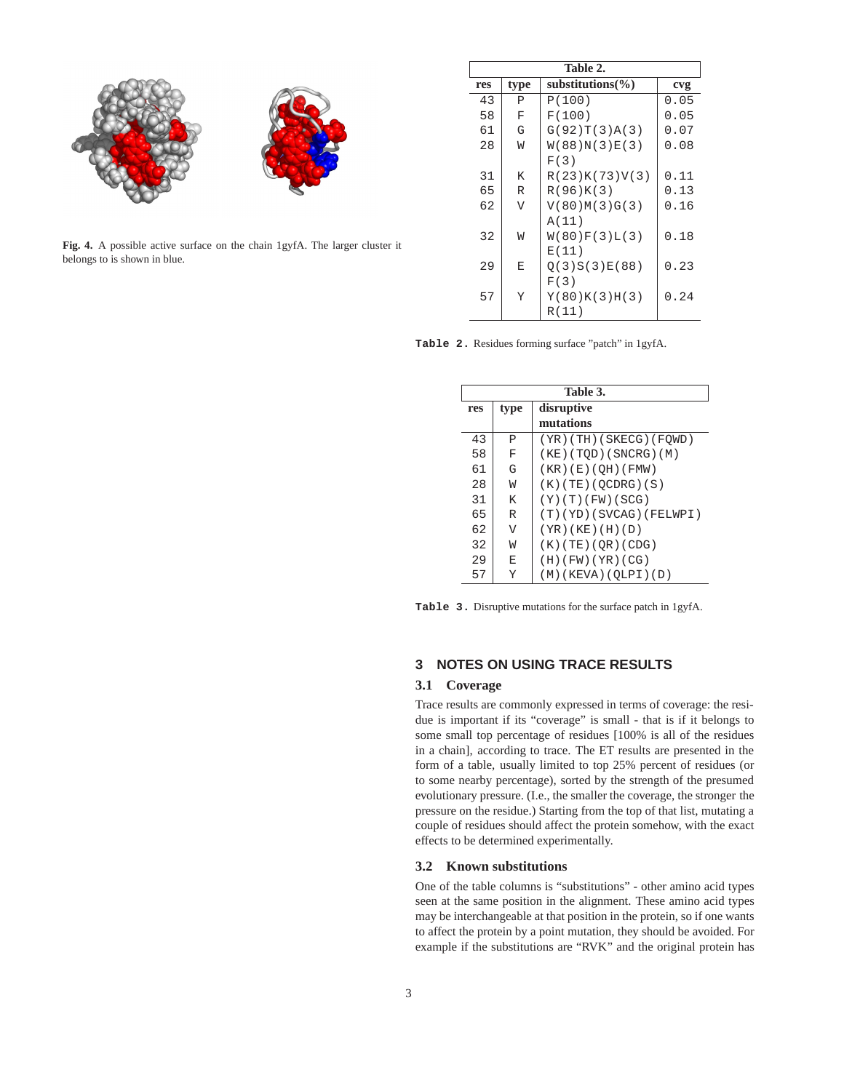

**Fig. 4.** A possible active surface on the chain 1gyfA. The larger cluster it belongs to is shown in blue.

| Table 2. |      |                       |      |  |  |
|----------|------|-----------------------|------|--|--|
| res      | type | substitutions( $\%$ ) | cvg  |  |  |
| 43       | P    | P(100)                | 0.05 |  |  |
| 58       | F    | F(100)                | 0.05 |  |  |
| 61       | G    | G(92)T(3)A(3)         | 0.07 |  |  |
| 28       | W    | W(88)N(3)E(3)         | 0.08 |  |  |
|          |      | F(3)                  |      |  |  |
| 31       | K    | R(23)K(73)V(3)        | 0.11 |  |  |
| 65       | R    | R(96)K(3)             | 0.13 |  |  |
| 62       | V    | V(80)M(3)G(3)         | 0.16 |  |  |
|          |      | A(11)                 |      |  |  |
| 32       | W    | W(80)F(3)L(3)         | 0.18 |  |  |
|          |      | E(11)                 |      |  |  |
| 29       | E    | O(3)S(3)E(88)         | 0.23 |  |  |
|          |      | F(3)                  |      |  |  |
| 57       | Y    | Y(80)K(3)H(3)         | 0.24 |  |  |
|          |      | R(11)                 |      |  |  |

**Table 2.** Residues forming surface "patch" in 1gyfA.

| Table 3. |      |                            |  |  |
|----------|------|----------------------------|--|--|
| res      | type | disruptive                 |  |  |
|          |      | mutations                  |  |  |
| 43       | P    | $(YR)$ (TH) (SKECG) (FQWD) |  |  |
| 58       | F    | $(KE)$ (TQD) (SNCRG) (M)   |  |  |
| 61       | G    | (KR) (E) (QH) (FMW)        |  |  |
| 28       | W    | $(K)$ (TE) (QCDRG) (S)     |  |  |
| 31       | K    | (Y)(T)(FW)(SCG)            |  |  |
| 65       | R    | (T) (YD) (SVCAG) (FELWPI)  |  |  |
| 62       | V    | $(YR)$ (KE) $(H)$ (D)      |  |  |
| 32       | W    | (K)(TE)(QR)(CDG)           |  |  |
| 29       | E    | (H)(FW)(YR)(CG)            |  |  |
| 57       | Y    | (M)(KEYA)(OLPI)(D)         |  |  |

**Table 3.** Disruptive mutations for the surface patch in 1gyfA.

# **3 NOTES ON USING TRACE RESULTS**

## **3.1 Coverage**

Trace results are commonly expressed in terms of coverage: the residue is important if its "coverage" is small - that is if it belongs to some small top percentage of residues [100% is all of the residues in a chain], according to trace. The ET results are presented in the form of a table, usually limited to top 25% percent of residues (or to some nearby percentage), sorted by the strength of the presumed evolutionary pressure. (I.e., the smaller the coverage, the stronger the pressure on the residue.) Starting from the top of that list, mutating a couple of residues should affect the protein somehow, with the exact effects to be determined experimentally.

#### **3.2 Known substitutions**

One of the table columns is "substitutions" - other amino acid types seen at the same position in the alignment. These amino acid types may be interchangeable at that position in the protein, so if one wants to affect the protein by a point mutation, they should be avoided. For example if the substitutions are "RVK" and the original protein has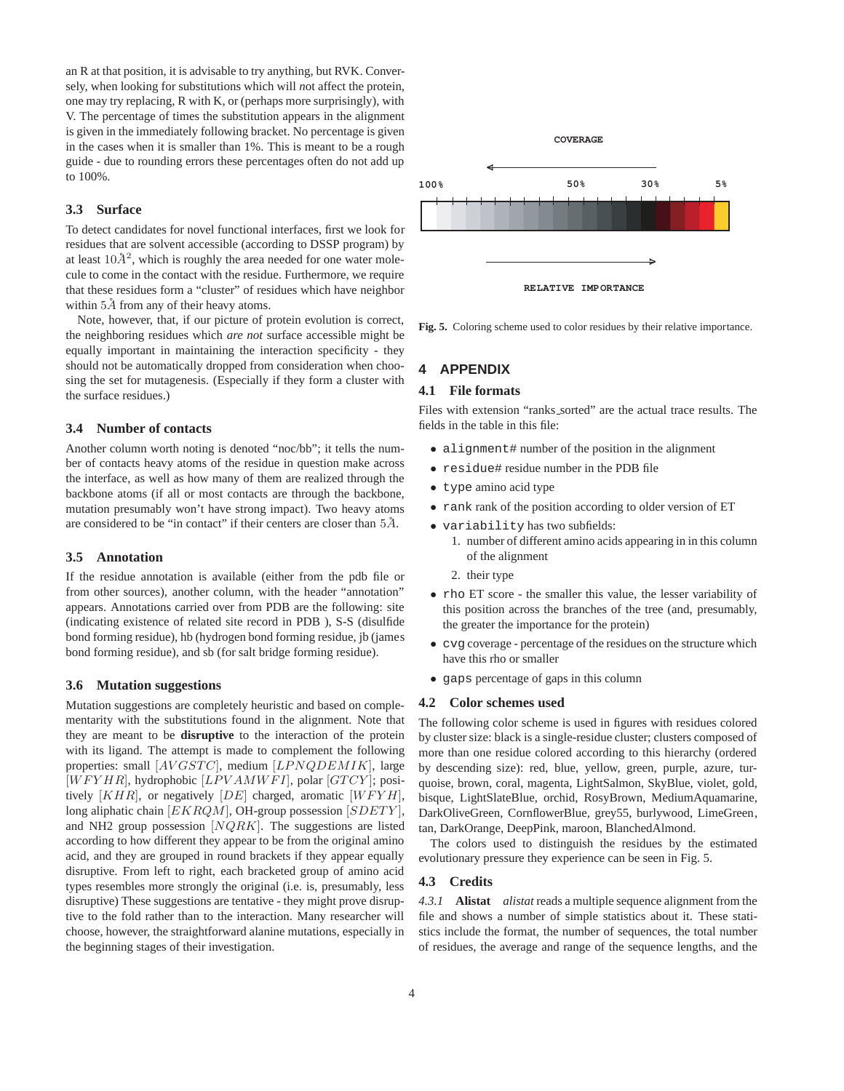an R at that position, it is advisable to try anything, but RVK. Conversely, when looking for substitutions which will *n*ot affect the protein, one may try replacing, R with K, or (perhaps more surprisingly), with V. The percentage of times the substitution appears in the alignment is given in the immediately following bracket. No percentage is given in the cases when it is smaller than 1%. This is meant to be a rough guide - due to rounding errors these percentages often do not add up to 100%.

#### **3.3 Surface**

To detect candidates for novel functional interfaces, first we look for residues that are solvent accessible (according to DSSP program) by at least  $10\AA^2$ , which is roughly the area needed for one water molecule to come in the contact with the residue. Furthermore, we require that these residues form a "cluster" of residues which have neighbor within  $5\AA$  from any of their heavy atoms.

Note, however, that, if our picture of protein evolution is correct, the neighboring residues which *are not* surface accessible might be equally important in maintaining the interaction specificity - they should not be automatically dropped from consideration when choosing the set for mutagenesis. (Especially if they form a cluster with the surface residues.)

#### **3.4 Number of contacts**

Another column worth noting is denoted "noc/bb"; it tells the number of contacts heavy atoms of the residue in question make across the interface, as well as how many of them are realized through the backbone atoms (if all or most contacts are through the backbone, mutation presumably won't have strong impact). Two heavy atoms are considered to be "in contact" if their centers are closer than  $5\AA$ .

#### **3.5 Annotation**

If the residue annotation is available (either from the pdb file or from other sources), another column, with the header "annotation" appears. Annotations carried over from PDB are the following: site (indicating existence of related site record in PDB ), S-S (disulfide bond forming residue), hb (hydrogen bond forming residue, jb (james bond forming residue), and sb (for salt bridge forming residue).

#### **3.6 Mutation suggestions**

Mutation suggestions are completely heuristic and based on complementarity with the substitutions found in the alignment. Note that they are meant to be **disruptive** to the interaction of the protein with its ligand. The attempt is made to complement the following properties: small [AVGSTC], medium [LPNQDEMIK], large  $[WFYHR]$ , hydrophobic  $[LPVAMWFI]$ , polar  $[GTCY]$ ; positively  $[KHR]$ , or negatively  $[DE]$  charged, aromatic  $[WFYH]$ , long aliphatic chain [EKRQM], OH-group possession [SDETY], and NH2 group possession  $[NQRK]$ . The suggestions are listed according to how different they appear to be from the original amino acid, and they are grouped in round brackets if they appear equally disruptive. From left to right, each bracketed group of amino acid types resembles more strongly the original (i.e. is, presumably, less disruptive) These suggestions are tentative - they might prove disruptive to the fold rather than to the interaction. Many researcher will choose, however, the straightforward alanine mutations, especially in the beginning stages of their investigation.



**Fig. 5.** Coloring scheme used to color residues by their relative importance.

# **4 APPENDIX**

#### **4.1 File formats**

Files with extension "ranks sorted" are the actual trace results. The fields in the table in this file:

- alignment# number of the position in the alignment
- residue# residue number in the PDB file
- type amino acid type
- rank rank of the position according to older version of ET
- variability has two subfields:
	- 1. number of different amino acids appearing in in this column of the alignment
	- 2. their type
- rho ET score the smaller this value, the lesser variability of this position across the branches of the tree (and, presumably, the greater the importance for the protein)
- cvg coverage percentage of the residues on the structure which have this rho or smaller
- gaps percentage of gaps in this column

## **4.2 Color schemes used**

The following color scheme is used in figures with residues colored by cluster size: black is a single-residue cluster; clusters composed of more than one residue colored according to this hierarchy (ordered by descending size): red, blue, yellow, green, purple, azure, turquoise, brown, coral, magenta, LightSalmon, SkyBlue, violet, gold, bisque, LightSlateBlue, orchid, RosyBrown, MediumAquamarine, DarkOliveGreen, CornflowerBlue, grey55, burlywood, LimeGreen, tan, DarkOrange, DeepPink, maroon, BlanchedAlmond.

The colors used to distinguish the residues by the estimated evolutionary pressure they experience can be seen in Fig. 5.

#### **4.3 Credits**

*4.3.1* **Alistat** *alistat* reads a multiple sequence alignment from the file and shows a number of simple statistics about it. These statistics include the format, the number of sequences, the total number of residues, the average and range of the sequence lengths, and the